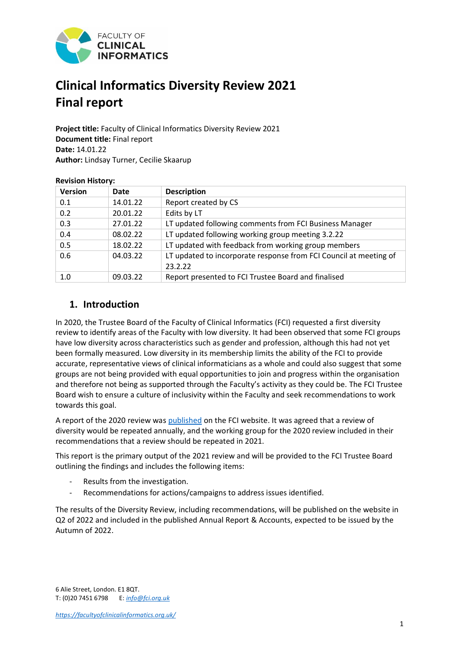

# **Clinical Informatics Diversity Review 2021 Final report**

**Project title:** Faculty of Clinical Informatics Diversity Review 2021 **Document title:** Final report **Date:** 14.01.22 **Author:** Lindsay Turner, Cecilie Skaarup

| <b>Version</b> | Date     | <b>Description</b>                                                           |
|----------------|----------|------------------------------------------------------------------------------|
| 0.1            | 14.01.22 | Report created by CS                                                         |
| 0.2            | 20.01.22 | Edits by LT                                                                  |
| 0.3            | 27.01.22 | LT updated following comments from FCI Business Manager                      |
| 0.4            | 08.02.22 | LT updated following working group meeting 3.2.22                            |
| 0.5            | 18.02.22 | LT updated with feedback from working group members                          |
| 0.6            | 04.03.22 | LT updated to incorporate response from FCI Council at meeting of<br>23.2.22 |
| 1.0            | 09.03.22 | Report presented to FCI Trustee Board and finalised                          |

#### **Revision History:**

# **1. Introduction**

In 2020, the Trustee Board of the Faculty of Clinical Informatics (FCI) requested a first diversity review to identify areas of the Faculty with low diversity. It had been observed that some FCI groups have low diversity across characteristics such as gender and profession, although this had not yet been formally measured. Low diversity in its membership limits the ability of the FCI to provide accurate, representative views of clinical informaticians as a whole and could also suggest that some groups are not being provided with equal opportunities to join and progress within the organisation and therefore not being as supported through the Faculty's activity as they could be. The FCI Trustee Board wish to ensure a culture of inclusivity within the Faculty and seek recommendations to work towards this goal.

A report of the 2020 review was [published](https://facultyofclinicalinformatics.org.uk/governance-1) on the FCI website. It was agreed that a review of diversity would be repeated annually, and the working group for the 2020 review included in their recommendations that a review should be repeated in 2021.

This report is the primary output of the 2021 review and will be provided to the FCI Trustee Board outlining the findings and includes the following items:

- Results from the investigation.
- Recommendations for actions/campaigns to address issues identified.

The results of the Diversity Review, including recommendations, will be published on the website in Q2 of 2022 and included in the published Annual Report & Accounts, expected to be issued by the Autumn of 2022.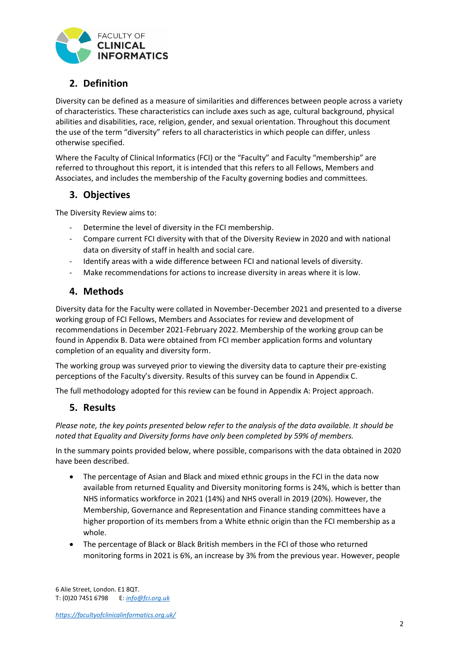

# **2. Definition**

Diversity can be defined as a measure of similarities and differences between people across a variety of characteristics. These characteristics can include axes such as age, cultural background, physical abilities and disabilities, race, religion, gender, and sexual orientation. Throughout this document the use of the term "diversity" refers to all characteristics in which people can differ, unless otherwise specified.

Where the Faculty of Clinical Informatics (FCI) or the "Faculty" and Faculty "membership" are referred to throughout this report, it is intended that this refers to all Fellows, Members and Associates, and includes the membership of the Faculty governing bodies and committees.

### **3. Objectives**

The Diversity Review aims to:

- Determine the level of diversity in the FCI membership.
- Compare current FCI diversity with that of the Diversity Review in 2020 and with national data on diversity of staff in health and social care.
- Identify areas with a wide difference between FCI and national levels of diversity.
- Make recommendations for actions to increase diversity in areas where it is low.

### **4. Methods**

Diversity data for the Faculty were collated in November-December 2021 and presented to a diverse working group of FCI Fellows, Members and Associates for review and development of recommendations in December 2021-February 2022. Membership of the working group can be found in [Appendix B.](#page-9-0) Data were obtained from FCI member application forms and voluntary completion of an equality and diversity form.

The working group was surveyed prior to viewing the diversity data to capture their pre-existing perceptions of the Faculty's diversity. Results of this survey can be found in Appendix C.

The full methodology adopted for this review can be found in Appendix A: Project approach.

### **5. Results**

*Please note, the key points presented below refer to the analysis of the data available. It should be noted that Equality and Diversity forms have only been completed by 59% of members.*

In the summary points provided below, where possible, comparisons with the data obtained in 2020 have been described.

- The percentage of Asian and Black and mixed ethnic groups in the FCI in the data now available from returned Equality and Diversity monitoring forms is 24%, which is better than NHS informatics workforce in 2021 (14%) and NHS overall in 2019 (20%). However, the Membership, Governance and Representation and Finance standing committees have a higher proportion of its members from a White ethnic origin than the FCI membership as a whole.
- The percentage of Black or Black British members in the FCI of those who returned monitoring forms in 2021 is 6%, an increase by 3% from the previous year. However, people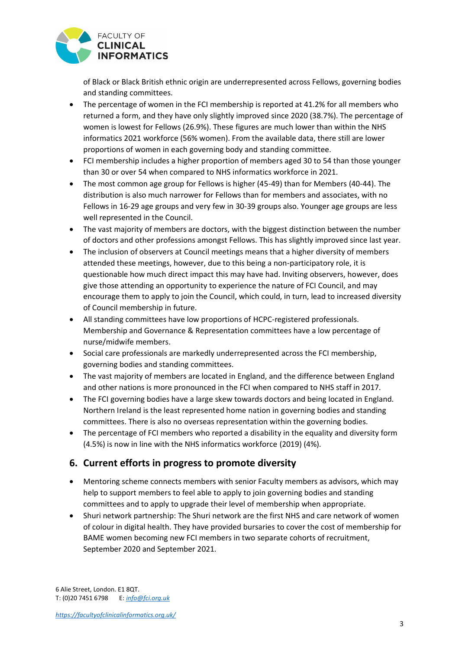

of Black or Black British ethnic origin are underrepresented across Fellows, governing bodies and standing committees.

- The percentage of women in the FCI membership is reported at 41.2% for all members who returned a form, and they have only slightly improved since 2020 (38.7%). The percentage of women is lowest for Fellows (26.9%). These figures are much lower than within the NHS informatics 2021 workforce (56% women). From the available data, there still are lower proportions of women in each governing body and standing committee.
- FCI membership includes a higher proportion of members aged 30 to 54 than those younger than 30 or over 54 when compared to NHS informatics workforce in 2021.
- The most common age group for Fellows is higher (45-49) than for Members (40-44). The distribution is also much narrower for Fellows than for members and associates, with no Fellows in 16-29 age groups and very few in 30-39 groups also. Younger age groups are less well represented in the Council.
- The vast majority of members are doctors, with the biggest distinction between the number of doctors and other professions amongst Fellows. This has slightly improved since last year.
- The inclusion of observers at Council meetings means that a higher diversity of members attended these meetings, however, due to this being a non-participatory role, it is questionable how much direct impact this may have had. Inviting observers, however, does give those attending an opportunity to experience the nature of FCI Council, and may encourage them to apply to join the Council, which could, in turn, lead to increased diversity of Council membership in future.
- All standing committees have low proportions of HCPC-registered professionals. Membership and Governance & Representation committees have a low percentage of nurse/midwife members.
- Social care professionals are markedly underrepresented across the FCI membership, governing bodies and standing committees.
- The vast majority of members are located in England, and the difference between England and other nations is more pronounced in the FCI when compared to NHS staff in 2017.
- The FCI governing bodies have a large skew towards doctors and being located in England. Northern Ireland is the least represented home nation in governing bodies and standing committees. There is also no overseas representation within the governing bodies.
- The percentage of FCI members who reported a disability in the equality and diversity form (4.5%) is now in line with the NHS informatics workforce (2019) (4%).

### **6. Current efforts in progress to promote diversity**

- Mentoring scheme connects members with senior Faculty members as advisors, which may help to support members to feel able to apply to join governing bodies and standing committees and to apply to upgrade their level of membership when appropriate.
- Shuri network partnership: The Shuri network are the first NHS and care network of women of colour in digital health. They have provided bursaries to cover the cost of membership for BAME women becoming new FCI members in two separate cohorts of recruitment, September 2020 and September 2021.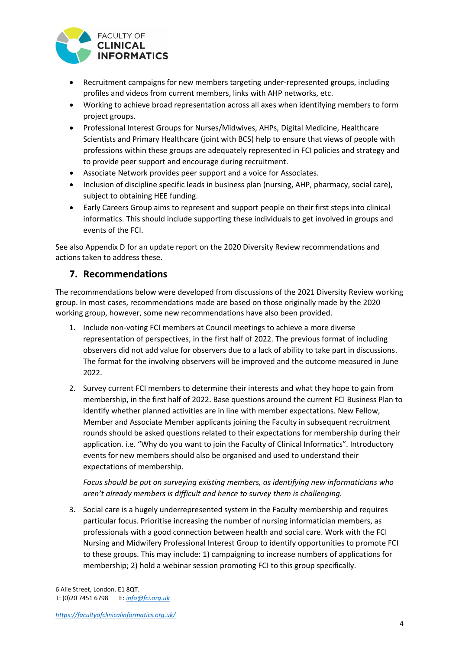

- Recruitment campaigns for new members targeting under-represented groups, including profiles and videos from current members, links with AHP networks, etc.
- Working to achieve broad representation across all axes when identifying members to form project groups.
- Professional Interest Groups for Nurses/Midwives, AHPs, Digital Medicine, Healthcare Scientists and Primary Healthcare (joint with BCS) help to ensure that views of people with professions within these groups are adequately represented in FCI policies and strategy and to provide peer support and encourage during recruitment.
- Associate Network provides peer support and a voice for Associates.
- Inclusion of discipline specific leads in business plan (nursing, AHP, pharmacy, social care), subject to obtaining HEE funding.
- Early Careers Group aims to represent and support people on their first steps into clinical informatics. This should include supporting these individuals to get involved in groups and events of the FCI.

See also Appendix D for an update report on the 2020 Diversity Review recommendations and actions taken to address these.

### **7. Recommendations**

The recommendations below were developed from discussions of the 2021 Diversity Review working group. In most cases, recommendations made are based on those originally made by the 2020 working group, however, some new recommendations have also been provided.

- 1. Include non-voting FCI members at Council meetings to achieve a more diverse representation of perspectives, in the first half of 2022. The previous format of including observers did not add value for observers due to a lack of ability to take part in discussions. The format for the involving observers will be improved and the outcome measured in June 2022.
- 2. Survey current FCI members to determine their interests and what they hope to gain from membership, in the first half of 2022. Base questions around the current FCI Business Plan to identify whether planned activities are in line with member expectations. New Fellow, Member and Associate Member applicants joining the Faculty in subsequent recruitment rounds should be asked questions related to their expectations for membership during their application. i.e. "Why do you want to join the Faculty of Clinical Informatics". Introductory events for new members should also be organised and used to understand their expectations of membership.

*Focus should be put on surveying existing members, as identifying new informaticians who aren't already members is difficult and hence to survey them is challenging.*

3. Social care is a hugely underrepresented system in the Faculty membership and requires particular focus. Prioritise increasing the number of nursing informatician members, as professionals with a good connection between health and social care. Work with the FCI Nursing and Midwifery Professional Interest Group to identify opportunities to promote FCI to these groups. This may include: 1) campaigning to increase numbers of applications for membership; 2) hold a webinar session promoting FCI to this group specifically.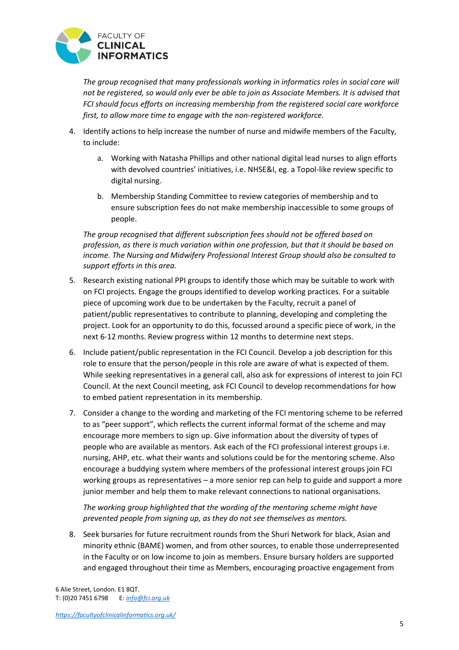

*The group recognised that many professionals working in informatics roles in social care will not be registered, so would only ever be able to join as Associate Members. It is advised that FCI should focus efforts on increasing membership from the registered social care workforce first, to allow more time to engage with the non-registered workforce.* 

- 4. Identify actions to help increase the number of nurse and midwife members of the Faculty, to include:
	- a. Working with Natasha Phillips and other national digital lead nurses to align efforts with devolved countries' initiatives, i.e. NHSE&I, eg. a Topol-like review specific to digital nursing.
	- b. Membership Standing Committee to review categories of membership and to ensure subscription fees do not make membership inaccessible to some groups of people.

*The group recognised that different subscription fees should not be offered based on profession, as there is much variation within one profession, but that it should be based on income. The Nursing and Midwifery Professional Interest Group should also be consulted to support efforts in this area.* 

- 5. Research existing national PPI groups to identify those which may be suitable to work with on FCI projects. Engage the groups identified to develop working practices. For a suitable piece of upcoming work due to be undertaken by the Faculty, recruit a panel of patient/public representatives to contribute to planning, developing and completing the project. Look for an opportunity to do this, focussed around a specific piece of work, in the next 6-12 months. Review progress within 12 months to determine next steps.
- 6. Include patient/public representation in the FCI Council. Develop a job description for this role to ensure that the person/people in this role are aware of what is expected of them. While seeking representatives in a general call, also ask for expressions of interest to join FCI Council. At the next Council meeting, ask FCI Council to develop recommendations for how to embed patient representation in its membership.
- 7. Consider a change to the wording and marketing of the FCI mentoring scheme to be referred to as "peer support", which reflects the current informal format of the scheme and may encourage more members to sign up. Give information about the diversity of types of people who are available as mentors. Ask each of the FCI professional interest groups i.e. nursing, AHP, etc. what their wants and solutions could be for the mentoring scheme. Also encourage a buddying system where members of the professional interest groups join FCI working groups as representatives – a more senior rep can help to guide and support a more junior member and help them to make relevant connections to national organisations.

*The working group highlighted that the wording of the mentoring scheme might have prevented people from signing up, as they do not see themselves as mentors.* 

8. Seek bursaries for future recruitment rounds from the Shuri Network for black, Asian and minority ethnic (BAME) women, and from other sources, to enable those underrepresented in the Faculty or on low income to join as members. Ensure bursary holders are supported and engaged throughout their time as Members, encouraging proactive engagement from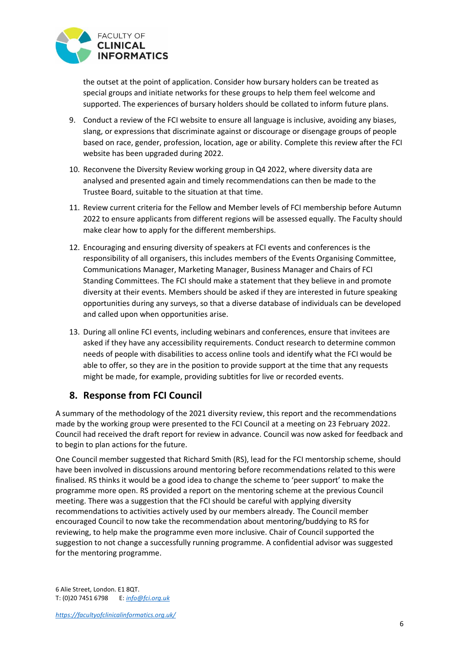

the outset at the point of application. Consider how bursary holders can be treated as special groups and initiate networks for these groups to help them feel welcome and supported. The experiences of bursary holders should be collated to inform future plans.

- 9. Conduct a review of the FCI website to ensure all language is inclusive, avoiding any biases, slang, or expressions that discriminate against or discourage or disengage groups of people based on race, gender, profession, location, age or ability. Complete this review after the FCI website has been upgraded during 2022.
- 10. Reconvene the Diversity Review working group in Q4 2022, where diversity data are analysed and presented again and timely recommendations can then be made to the Trustee Board, suitable to the situation at that time.
- 11. Review current criteria for the Fellow and Member levels of FCI membership before Autumn 2022 to ensure applicants from different regions will be assessed equally. The Faculty should make clear how to apply for the different memberships.
- 12. Encouraging and ensuring diversity of speakers at FCI events and conferences is the responsibility of all organisers, this includes members of the Events Organising Committee, Communications Manager, Marketing Manager, Business Manager and Chairs of FCI Standing Committees. The FCI should make a statement that they believe in and promote diversity at their events. Members should be asked if they are interested in future speaking opportunities during any surveys, so that a diverse database of individuals can be developed and called upon when opportunities arise.
- 13. During all online FCI events, including webinars and conferences, ensure that invitees are asked if they have any accessibility requirements. Conduct research to determine common needs of people with disabilities to access online tools and identify what the FCI would be able to offer, so they are in the position to provide support at the time that any requests might be made, for example, providing subtitles for live or recorded events.

### **8. Response from FCI Council**

A summary of the methodology of the 2021 diversity review, this report and the recommendations made by the working group were presented to the FCI Council at a meeting on 23 February 2022. Council had received the draft report for review in advance. Council was now asked for feedback and to begin to plan actions for the future.

One Council member suggested that Richard Smith (RS), lead for the FCI mentorship scheme, should have been involved in discussions around mentoring before recommendations related to this were finalised. RS thinks it would be a good idea to change the scheme to 'peer support' to make the programme more open. RS provided a report on the mentoring scheme at the previous Council meeting. There was a suggestion that the FCI should be careful with applying diversity recommendations to activities actively used by our members already. The Council member encouraged Council to now take the recommendation about mentoring/buddying to RS for reviewing, to help make the programme even more inclusive. Chair of Council supported the suggestion to not change a successfully running programme. A confidential advisor was suggested for the mentoring programme.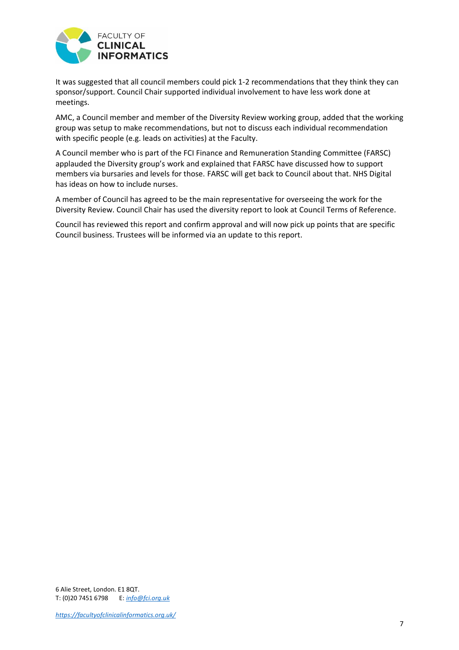

It was suggested that all council members could pick 1-2 recommendations that they think they can sponsor/support. Council Chair supported individual involvement to have less work done at meetings.

AMC, a Council member and member of the Diversity Review working group, added that the working group was setup to make recommendations, but not to discuss each individual recommendation with specific people (e.g. leads on activities) at the Faculty.

A Council member who is part of the FCI Finance and Remuneration Standing Committee (FARSC) applauded the Diversity group's work and explained that FARSC have discussed how to support members via bursaries and levels for those. FARSC will get back to Council about that. NHS Digital has ideas on how to include nurses.

A member of Council has agreed to be the main representative for overseeing the work for the Diversity Review. Council Chair has used the diversity report to look at Council Terms of Reference.

Council has reviewed this report and confirm approval and will now pick up points that are specific Council business. Trustees will be informed via an update to this report.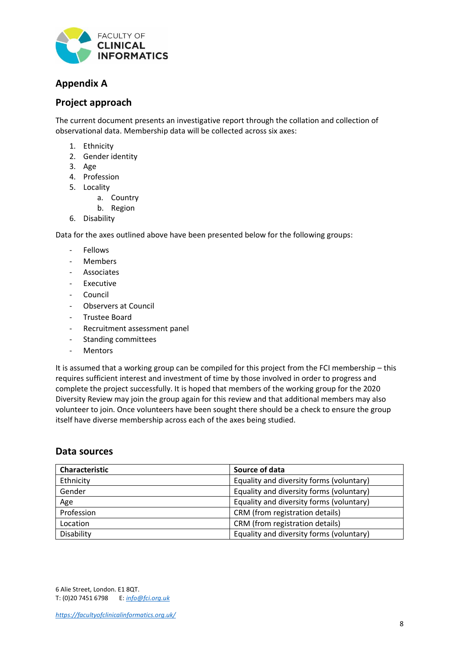

# **Appendix A**

### **Project approach**

The current document presents an investigative report through the collation and collection of observational data. Membership data will be collected across six axes:

- 1. Ethnicity
- 2. Gender identity
- 3. Age
- 4. Profession
- 5. Locality
	- a. Country
	- b. Region
- 6. Disability

Data for the axes outlined above have been presented below for the following groups:

- Fellows
- Members
- **Associates**
- Executive
- **Council**
- Observers at Council
- Trustee Board
- Recruitment assessment panel
- Standing committees
- Mentors

It is assumed that a working group can be compiled for this project from the FCI membership – this requires sufficient interest and investment of time by those involved in order to progress and complete the project successfully. It is hoped that members of the working group for the 2020 Diversity Review may join the group again for this review and that additional members may also volunteer to join. Once volunteers have been sought there should be a check to ensure the group itself have diverse membership across each of the axes being studied.

#### **Data sources**

| Characteristic | Source of data                           |
|----------------|------------------------------------------|
| Ethnicity      | Equality and diversity forms (voluntary) |
| Gender         | Equality and diversity forms (voluntary) |
| Age            | Equality and diversity forms (voluntary) |
| Profession     | CRM (from registration details)          |
| Location       | CRM (from registration details)          |
| Disability     | Equality and diversity forms (voluntary) |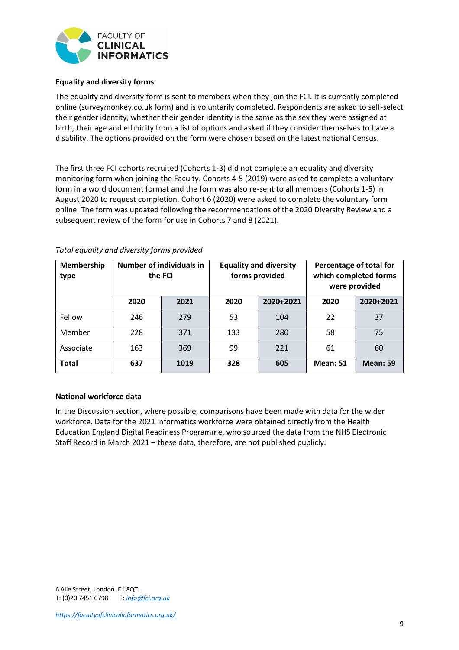

#### **Equality and diversity forms**

The equality and diversity form is sent to members when they join the FCI. It is currently completed online (surveymonkey.co.uk form) and is voluntarily completed. Respondents are asked to self-select their gender identity, whether their gender identity is the same as the sex they were assigned at birth, their age and ethnicity from a list of options and asked if they consider themselves to have a disability. The options provided on the form were chosen based on the latest national Census.

The first three FCI cohorts recruited (Cohorts 1-3) did not complete an equality and diversity monitoring form when joining the Faculty. Cohorts 4-5 (2019) were asked to complete a voluntary form in a word document format and the form was also re-sent to all members (Cohorts 1-5) in August 2020 to request completion. Cohort 6 (2020) were asked to complete the voluntary form online. The form was updated following the recommendations of the 2020 Diversity Review and a subsequent review of the form for use in Cohorts 7 and 8 (2021).

| <b>Membership</b><br>type |      | <b>Number of individuals in</b><br><b>Equality and diversity</b><br>Percentage of total for<br>forms provided<br>which completed forms<br>the FCI<br>were provided |      |           |                 |                 |
|---------------------------|------|--------------------------------------------------------------------------------------------------------------------------------------------------------------------|------|-----------|-----------------|-----------------|
|                           | 2020 | 2021                                                                                                                                                               | 2020 | 2020+2021 | 2020            | 2020+2021       |
| Fellow                    | 246  | 279                                                                                                                                                                | 53   | 104       | 22              | 37              |
| Member                    | 228  | 371                                                                                                                                                                | 133  | 280       | 58              | 75              |
| Associate                 | 163  | 369                                                                                                                                                                | 99   | 221       | 61              | 60              |
| <b>Total</b>              | 637  | 1019                                                                                                                                                               | 328  | 605       | <b>Mean: 51</b> | <b>Mean: 59</b> |

#### *Total equality and diversity forms provided*

#### **National workforce data**

In the Discussion section, where possible, comparisons have been made with data for the wider workforce. Data for the 2021 informatics workforce were obtained directly from the Health Education England Digital Readiness Programme, who sourced the data from the NHS Electronic Staff Record in March 2021 – these data, therefore, are not published publicly.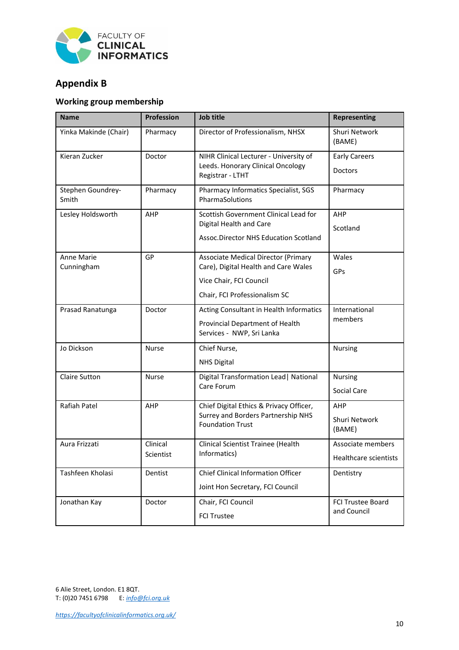

# <span id="page-9-0"></span>**Appendix B**

### **Working group membership**

| <b>Name</b>                | Profession   | <b>Job title</b>                                              | <b>Representing</b>     |
|----------------------------|--------------|---------------------------------------------------------------|-------------------------|
| Yinka Makinde (Chair)      | Pharmacy     | Director of Professionalism, NHSX                             | Shuri Network<br>(BAME) |
| Kieran Zucker              | Doctor       | NIHR Clinical Lecturer - University of                        | <b>Early Careers</b>    |
|                            |              | Leeds. Honorary Clinical Oncology<br>Registrar - LTHT         | Doctors                 |
| Stephen Goundrey-<br>Smith | Pharmacy     | Pharmacy Informatics Specialist, SGS<br>PharmaSolutions       | Pharmacy                |
| Lesley Holdsworth          | AHP          | Scottish Government Clinical Lead for                         | AHP                     |
|                            |              | Digital Health and Care                                       | Scotland                |
|                            |              | Assoc.Director NHS Education Scotland                         |                         |
| Anne Marie                 | GP           | <b>Associate Medical Director (Primary</b>                    | Wales                   |
| Cunningham                 |              | Care), Digital Health and Care Wales                          | GPs                     |
|                            |              | Vice Chair, FCI Council                                       |                         |
|                            |              | Chair, FCI Professionalism SC                                 |                         |
| Prasad Ranatunga           | Doctor       | Acting Consultant in Health Informatics                       | International           |
|                            |              | Provincial Department of Health<br>Services - NWP, Sri Lanka  | members                 |
| Jo Dickson                 | <b>Nurse</b> | Chief Nurse,                                                  | Nursing                 |
|                            |              | <b>NHS Digital</b>                                            |                         |
| <b>Claire Sutton</b>       | <b>Nurse</b> | Digital Transformation Lead   National                        | <b>Nursing</b>          |
|                            |              | Care Forum                                                    | Social Care             |
| Rafiah Patel               | AHP          | Chief Digital Ethics & Privacy Officer,                       | AHP                     |
|                            |              | Surrey and Borders Partnership NHS<br><b>Foundation Trust</b> | Shuri Network<br>(BAME) |
| Aura Frizzati              | Clinical     | Clinical Scientist Trainee (Health                            | Associate members       |
|                            | Scientist    | Informatics)                                                  | Healthcare scientists   |
| Tashfeen Kholasi           | Dentist      | <b>Chief Clinical Information Officer</b>                     | Dentistry               |
|                            |              | Joint Hon Secretary, FCI Council                              |                         |
| Jonathan Kay               | Doctor       | Chair, FCI Council                                            | FCI Trustee Board       |
|                            |              | <b>FCI Trustee</b>                                            | and Council             |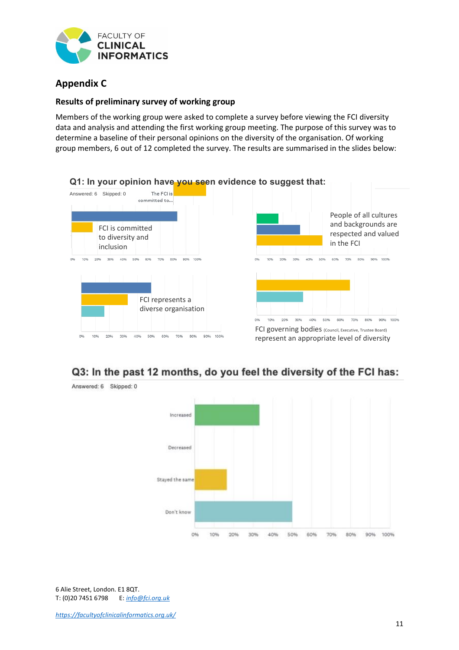

# **Appendix C**

#### **Results of preliminary survey of working group**

Members of the working group were asked to complete a survey before viewing the FCI diversity data and analysis and attending the first working group meeting. The purpose of this survey was to determine a baseline of their personal opinions on the diversity of the organisation. Of working group members, 6 out of 12 completed the survey. The results are summarised in the slides below:





# Q3: In the past 12 months, do you feel the diversity of the FCI has:

Answered: 6 Skipped: 0

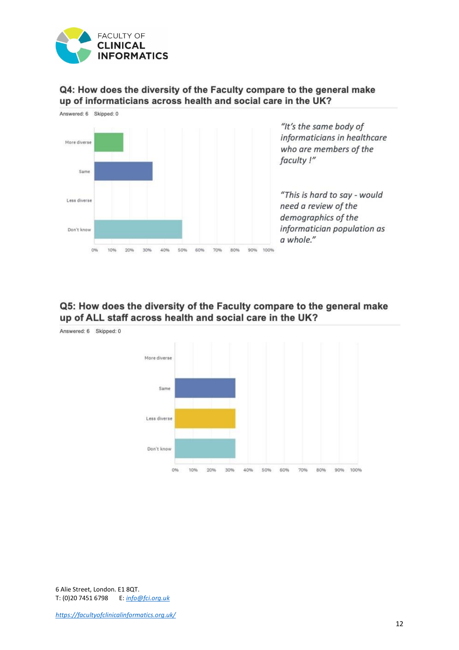

### Q4: How does the diversity of the Faculty compare to the general make up of informaticians across health and social care in the UK?



### Q5: How does the diversity of the Faculty compare to the general make up of ALL staff across health and social care in the UK?

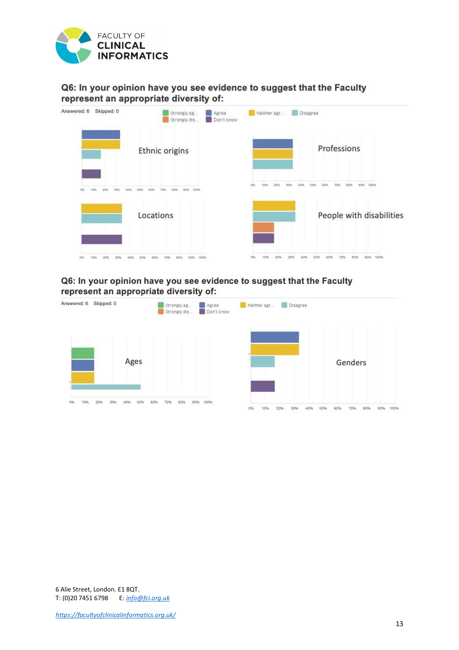

### Q6: In your opinion have you see evidence to suggest that the Faculty represent an appropriate diversity of:

| Answered: 6<br>Skipped: 0 | Strongly ag<br>Agree<br>Don't know<br>Strongly dis | Neither agr<br><b>Disagree</b> |
|---------------------------|----------------------------------------------------|--------------------------------|
|                           | Ethnic origins                                     | Professions                    |
|                           |                                                    |                                |
|                           | Locations                                          | People with disabilities       |
|                           |                                                    | 00%                            |

#### Q6: In your opinion have you see evidence to suggest that the Faculty represent an appropriate diversity of:

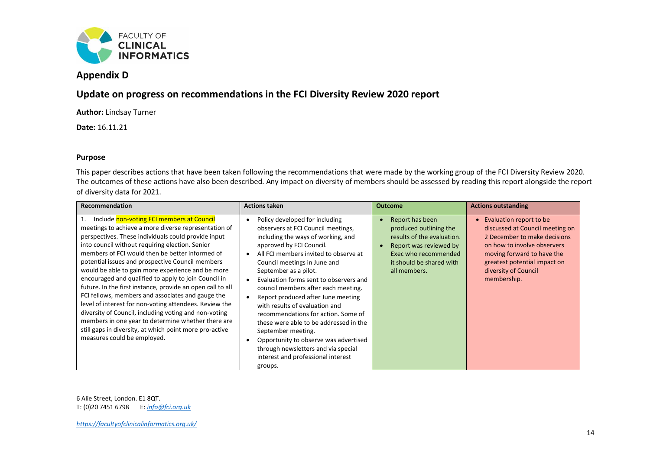

## **Appendix D**

### **Update on progress on recommendations in the FCI Diversity Review 2020 report**

**Author:** Lindsay Turner

**Date:** 16.11.21

#### **Purpose**

This paper describes actions that have been taken following the recommendations that were made by the working group of the FCI Diversity Review 2020. The outcomes of these actions have also been described. Any impact on diversity of members should be assessed by reading this report alongside the report of diversity data for 2021.

| Recommendation                                                                                                                                                                                                                                                                                                                                                                                                                                                                                                                                                                                                                                                                                                                                                                                                              | <b>Actions taken</b>                                                                                                                                                                                                                                                                                                                                                                                                                                                                                                                                                                                                                      | <b>Outcome</b>                                                                                                                                                        | <b>Actions outstanding</b>                                                                                                                                                                                                                  |
|-----------------------------------------------------------------------------------------------------------------------------------------------------------------------------------------------------------------------------------------------------------------------------------------------------------------------------------------------------------------------------------------------------------------------------------------------------------------------------------------------------------------------------------------------------------------------------------------------------------------------------------------------------------------------------------------------------------------------------------------------------------------------------------------------------------------------------|-------------------------------------------------------------------------------------------------------------------------------------------------------------------------------------------------------------------------------------------------------------------------------------------------------------------------------------------------------------------------------------------------------------------------------------------------------------------------------------------------------------------------------------------------------------------------------------------------------------------------------------------|-----------------------------------------------------------------------------------------------------------------------------------------------------------------------|---------------------------------------------------------------------------------------------------------------------------------------------------------------------------------------------------------------------------------------------|
| Include non-voting FCI members at Council<br>1.<br>meetings to achieve a more diverse representation of<br>perspectives. These individuals could provide input<br>into council without requiring election. Senior<br>members of FCI would then be better informed of<br>potential issues and prospective Council members<br>would be able to gain more experience and be more<br>encouraged and qualified to apply to join Council in<br>future. In the first instance, provide an open call to all<br>FCI fellows, members and associates and gauge the<br>level of interest for non-voting attendees. Review the<br>diversity of Council, including voting and non-voting<br>members in one year to determine whether there are<br>still gaps in diversity, at which point more pro-active<br>measures could be employed. | Policy developed for including<br>observers at FCI Council meetings,<br>including the ways of working, and<br>approved by FCI Council.<br>All FCI members invited to observe at<br>Council meetings in June and<br>September as a pilot.<br>Evaluation forms sent to observers and<br>council members after each meeting.<br>Report produced after June meeting<br>with results of evaluation and<br>recommendations for action. Some of<br>these were able to be addressed in the<br>September meeting.<br>Opportunity to observe was advertised<br>through newsletters and via special<br>interest and professional interest<br>groups. | Report has been<br>produced outlining the<br>results of the evaluation.<br>Report was reviewed by<br>Exec who recommended<br>it should be shared with<br>all members. | Evaluation report to be<br>$\bullet$<br>discussed at Council meeting on<br>2 December to make decisions<br>on how to involve observers<br>moving forward to have the<br>greatest potential impact on<br>diversity of Council<br>membership. |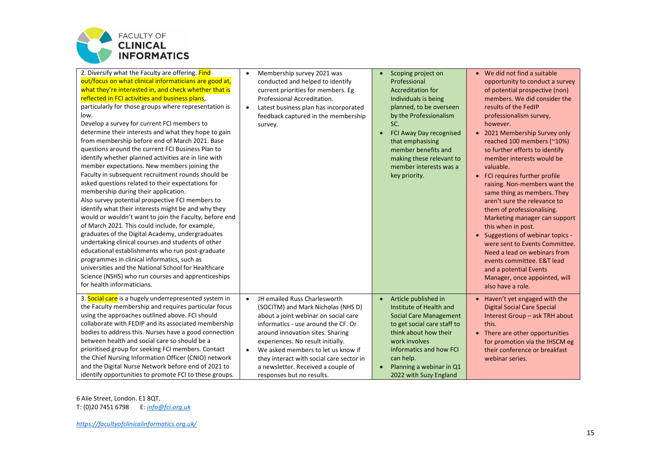

| 2. Diversify what the Faculty are offering. Find<br>out/focus on what clinical informaticians are good at,<br>what they're interested in, and check whether that is<br>reflected in FCI activities and business plans,<br>particularly for those groups where representation is<br>low.<br>Develop a survey for current FCI members to<br>determine their interests and what they hope to gain<br>from membership before end of March 2021. Base<br>questions around the current FCI Business Plan to<br>identify whether planned activities are in line with<br>member expectations. New members joining the<br>Faculty in subsequent recruitment rounds should be<br>asked questions related to their expectations for<br>membership during their application.<br>Also survey potential prospective FCI members to<br>identify what their interests might be and why they<br>would or wouldn't want to join the Faculty, before end<br>of March 2021. This could include, for example,<br>graduates of the Digital Academy, undergraduates<br>undertaking clinical courses and students of other<br>educational establishments who run post-graduate<br>programmes in clinical informatics, such as<br>universities and the National School for Healthcare<br>Science (NSHS) who run courses and apprenticeships<br>for health informaticians. | Membership survey 2021 was<br>$\bullet$<br>conducted and helped to identify<br>current priorities for members. Eg<br>Professional Accreditation.<br>Latest business plan has incorporated<br>$\bullet$<br>feedback captured in the membership<br>survey.                                                                                                                                                  | Scoping project on<br>$\bullet$<br>Professional<br><b>Accreditation for</b><br>Individuals is being<br>planned, to be overseen<br>by the Professionalism<br>SC.<br>FCI Away Day recognised<br>that emphasising<br>member benefits and<br>making these relevant to<br>member interests was a<br>key priority. | We did not find a suitable<br>$\bullet$<br>opportunity to conduct a survey<br>of potential prospective (non)<br>members. We did consider the<br>results of the FedIP<br>professionalism survey,<br>however.<br>2021 Membership Survey only<br>$\bullet$<br>reached 100 members (~10%)<br>so further efforts to identify<br>member interests would be<br>valuable.<br>• FCI requires further profile<br>raising. Non-members want the<br>same thing as members. They<br>aren't sure the relevance to<br>them of professionalising.<br>Marketing manager can support<br>this when in post.<br>• Suggestions of webinar topics -<br>were sent to Events Committee.<br>Need a lead on webinars from<br>events committee. E&T lead<br>and a potential Events<br>Manager, once appointed, will<br>also have a role. |
|--------------------------------------------------------------------------------------------------------------------------------------------------------------------------------------------------------------------------------------------------------------------------------------------------------------------------------------------------------------------------------------------------------------------------------------------------------------------------------------------------------------------------------------------------------------------------------------------------------------------------------------------------------------------------------------------------------------------------------------------------------------------------------------------------------------------------------------------------------------------------------------------------------------------------------------------------------------------------------------------------------------------------------------------------------------------------------------------------------------------------------------------------------------------------------------------------------------------------------------------------------------------------------------------------------------------------------------------------|-----------------------------------------------------------------------------------------------------------------------------------------------------------------------------------------------------------------------------------------------------------------------------------------------------------------------------------------------------------------------------------------------------------|--------------------------------------------------------------------------------------------------------------------------------------------------------------------------------------------------------------------------------------------------------------------------------------------------------------|---------------------------------------------------------------------------------------------------------------------------------------------------------------------------------------------------------------------------------------------------------------------------------------------------------------------------------------------------------------------------------------------------------------------------------------------------------------------------------------------------------------------------------------------------------------------------------------------------------------------------------------------------------------------------------------------------------------------------------------------------------------------------------------------------------------|
| 3. Social care is a hugely underrepresented system in<br>the Faculty membership and requires particular focus<br>using the approaches outlined above. FCI should<br>collaborate with FEDIP and its associated membership<br>bodies to address this. Nurses have a good connection<br>between health and social care so should be a<br>prioritised group for seeking FCI members. Contact<br>the Chief Nursing Information Officer (CNIO) network<br>and the Digital Nurse Network before end of 2021 to<br>identify opportunities to promote FCI to these groups.                                                                                                                                                                                                                                                                                                                                                                                                                                                                                                                                                                                                                                                                                                                                                                                | JH emailed Russ Charlesworth<br>$\bullet$<br>(SOCITM) and Mark Nicholas (NHS D)<br>about a joint webinar on social care<br>informatics - use around the CF. Or<br>around innovation sites. Sharing<br>experiences. No result initially.<br>We asked members to let us know if<br>$\bullet$<br>they interact with social care sector in<br>a newsletter. Received a couple of<br>responses but no results. | Article published in<br>$\bullet$<br>Institute of Health and<br><b>Social Care Management</b><br>to get social care staff to<br>think about how their<br>work involves<br>informatics and how FCI<br>can help.<br>Planning a webinar in Q1<br>2022 with Suzy England                                         | • Haven't yet engaged with the<br><b>Digital Social Care Special</b><br>Interest Group - ask TRH about<br>this.<br>• There are other opportunities<br>for promotion via the IHSCM eg<br>their conference or breakfast<br>webinar series.                                                                                                                                                                                                                                                                                                                                                                                                                                                                                                                                                                      |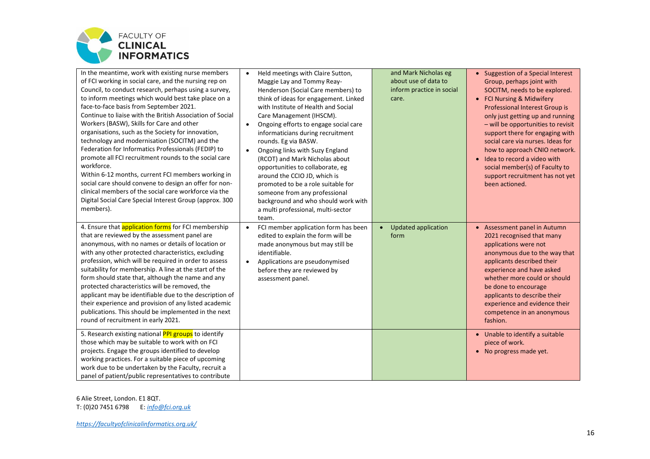

| In the meantime, work with existing nurse members<br>of FCI working in social care, and the nursing rep on<br>Council, to conduct research, perhaps using a survey,<br>to inform meetings which would best take place on a<br>face-to-face basis from September 2021.<br>Continue to liaise with the British Association of Social<br>Workers (BASW), Skills for Care and other<br>organisations, such as the Society for innovation,<br>technology and modernisation (SOCITM) and the<br>Federation for Informatics Professionals (FEDIP) to<br>promote all FCI recruitment rounds to the social care<br>workforce.<br>Within 6-12 months, current FCI members working in<br>social care should convene to design an offer for non-<br>clinical members of the social care workforce via the<br>Digital Social Care Special Interest Group (approx. 300<br>members).                                                                                                                                 | Held meetings with Claire Sutton,<br>$\bullet$<br>Maggie Lay and Tommy Reay-<br>Henderson (Social Care members) to<br>think of ideas for engagement. Linked<br>with Institute of Health and Social<br>Care Management (IHSCM).<br>Ongoing efforts to engage social care<br>$\bullet$<br>informaticians during recruitment<br>rounds. Eg via BASW.<br>Ongoing links with Suzy England<br>$\bullet$<br>(RCOT) and Mark Nicholas about<br>opportunities to collaborate, eg<br>around the CCIO JD, which is<br>promoted to be a role suitable for<br>someone from any professional<br>background and who should work with<br>a multi professional, multi-sector<br>team. | and Mark Nicholas eg<br>about use of data to<br>inform practice in social<br>care. | Suggestion of a Special Interest<br>Group, perhaps joint with<br>SOCITM, needs to be explored.<br>• FCI Nursing & Midwifery<br>Professional Interest Group is<br>only just getting up and running<br>- will be opportunities to revisit<br>support there for engaging with<br>social care via nurses. Ideas for<br>how to approach CNIO network.<br>Idea to record a video with<br>$\bullet$<br>social member(s) of Faculty to<br>support recruitment has not yet<br>been actioned. |
|-------------------------------------------------------------------------------------------------------------------------------------------------------------------------------------------------------------------------------------------------------------------------------------------------------------------------------------------------------------------------------------------------------------------------------------------------------------------------------------------------------------------------------------------------------------------------------------------------------------------------------------------------------------------------------------------------------------------------------------------------------------------------------------------------------------------------------------------------------------------------------------------------------------------------------------------------------------------------------------------------------|----------------------------------------------------------------------------------------------------------------------------------------------------------------------------------------------------------------------------------------------------------------------------------------------------------------------------------------------------------------------------------------------------------------------------------------------------------------------------------------------------------------------------------------------------------------------------------------------------------------------------------------------------------------------|------------------------------------------------------------------------------------|-------------------------------------------------------------------------------------------------------------------------------------------------------------------------------------------------------------------------------------------------------------------------------------------------------------------------------------------------------------------------------------------------------------------------------------------------------------------------------------|
| 4. Ensure that application forms for FCI membership<br>that are reviewed by the assessment panel are<br>anonymous, with no names or details of location or<br>with any other protected characteristics, excluding<br>profession, which will be required in order to assess<br>suitability for membership. A line at the start of the<br>form should state that, although the name and any<br>protected characteristics will be removed, the<br>applicant may be identifiable due to the description of<br>their experience and provision of any listed academic<br>publications. This should be implemented in the next<br>round of recruitment in early 2021.<br>5. Research existing national PPI groups to identify<br>those which may be suitable to work with on FCI<br>projects. Engage the groups identified to develop<br>working practices. For a suitable piece of upcoming<br>work due to be undertaken by the Faculty, recruit a<br>panel of patient/public representatives to contribute | FCI member application form has been<br>edited to explain the form will be<br>made anonymous but may still be<br>identifiable.<br>Applications are pseudonymised<br>$\bullet$<br>before they are reviewed by<br>assessment panel.                                                                                                                                                                                                                                                                                                                                                                                                                                    | Updated application<br>form                                                        | Assessment panel in Autumn<br>$\bullet$<br>2021 recognised that many<br>applications were not<br>anonymous due to the way that<br>applicants described their<br>experience and have asked<br>whether more could or should<br>be done to encourage<br>applicants to describe their<br>experience and evidence their<br>competence in an anonymous<br>fashion.<br>• Unable to identify a suitable<br>piece of work.<br>No progress made yet.<br>$\bullet$                             |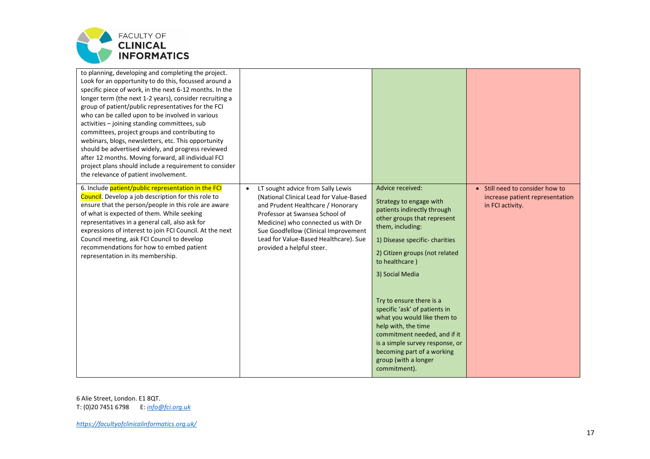

| to planning, developing and completing the project.<br>Look for an opportunity to do this, focussed around a<br>specific piece of work, in the next 6-12 months. In the<br>longer term (the next 1-2 years), consider recruiting a<br>group of patient/public representatives for the FCI<br>who can be called upon to be involved in various<br>activities - joining standing committees, sub<br>committees, project groups and contributing to<br>webinars, blogs, newsletters, etc. This opportunity<br>should be advertised widely, and progress reviewed<br>after 12 months. Moving forward, all individual FCI<br>project plans should include a requirement to consider<br>the relevance of patient involvement. |                                                                                                                                                                                                                                                                                                                      |                                                                                                                                                                                                                                                                                                                                                                                                                                                                                                   |                                                                                        |
|-------------------------------------------------------------------------------------------------------------------------------------------------------------------------------------------------------------------------------------------------------------------------------------------------------------------------------------------------------------------------------------------------------------------------------------------------------------------------------------------------------------------------------------------------------------------------------------------------------------------------------------------------------------------------------------------------------------------------|----------------------------------------------------------------------------------------------------------------------------------------------------------------------------------------------------------------------------------------------------------------------------------------------------------------------|---------------------------------------------------------------------------------------------------------------------------------------------------------------------------------------------------------------------------------------------------------------------------------------------------------------------------------------------------------------------------------------------------------------------------------------------------------------------------------------------------|----------------------------------------------------------------------------------------|
| 6. Include patient/public representation in the FCI<br>Council. Develop a job description for this role to<br>ensure that the person/people in this role are aware<br>of what is expected of them. While seeking<br>representatives in a general call, also ask for<br>expressions of interest to join FCI Council. At the next<br>Council meeting, ask FCI Council to develop<br>recommendations for how to embed patient<br>representation in its membership.                                                                                                                                                                                                                                                         | LT sought advice from Sally Lewis<br>$\bullet$<br>(National Clinical Lead for Value-Based<br>and Prudent Healthcare / Honorary<br>Professor at Swansea School of<br>Medicine) who connected us with Dr<br>Sue Goodfellow (Clinical Improvement<br>Lead for Value-Based Healthcare). Sue<br>provided a helpful steer. | Advice received:<br>Strategy to engage with<br>patients indirectly through<br>other groups that represent<br>them, including:<br>1) Disease specific-charities<br>2) Citizen groups (not related<br>to healthcare)<br>3) Social Media<br>Try to ensure there is a<br>specific 'ask' of patients in<br>what you would like them to<br>help with, the time<br>commitment needed, and if it<br>is a simple survey response, or<br>becoming part of a working<br>group (with a longer<br>commitment). | • Still need to consider how to<br>increase patient representation<br>in FCI activity. |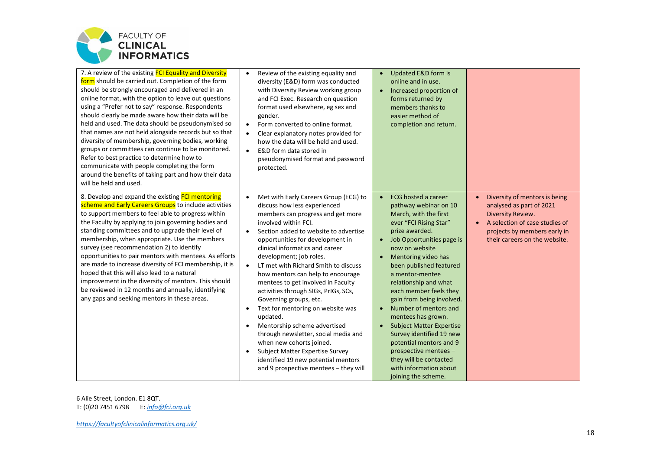

| 7. A review of the existing <b>FCI Equality and Diversity</b><br>form should be carried out. Completion of the form<br>should be strongly encouraged and delivered in an<br>online format, with the option to leave out questions<br>using a "Prefer not to say" response. Respondents<br>should clearly be made aware how their data will be<br>held and used. The data should be pseudonymised so<br>that names are not held alongside records but so that<br>diversity of membership, governing bodies, working<br>groups or committees can continue to be monitored.<br>Refer to best practice to determine how to<br>communicate with people completing the form<br>around the benefits of taking part and how their data<br>will be held and used. | Review of the existing equality and<br>$\bullet$<br>diversity (E&D) form was conducted<br>with Diversity Review working group<br>and FCI Exec. Research on question<br>format used elsewhere, eg sex and<br>gender.<br>Form converted to online format.<br>$\bullet$<br>Clear explanatory notes provided for<br>$\bullet$<br>how the data will be held and used.<br>E&D form data stored in<br>$\bullet$<br>pseudonymised format and password<br>protected.                                                                                                                                                                                                                                                                                                                                                              | Updated E&D form is<br>$\bullet$<br>online and in use.<br>Increased proportion of<br>$\bullet$<br>forms returned by<br>members thanks to<br>easier method of<br>completion and return.                                                                                                                                                                                                                                                                                                                                                                                                                           |                                                                                                                                                                                   |
|----------------------------------------------------------------------------------------------------------------------------------------------------------------------------------------------------------------------------------------------------------------------------------------------------------------------------------------------------------------------------------------------------------------------------------------------------------------------------------------------------------------------------------------------------------------------------------------------------------------------------------------------------------------------------------------------------------------------------------------------------------|--------------------------------------------------------------------------------------------------------------------------------------------------------------------------------------------------------------------------------------------------------------------------------------------------------------------------------------------------------------------------------------------------------------------------------------------------------------------------------------------------------------------------------------------------------------------------------------------------------------------------------------------------------------------------------------------------------------------------------------------------------------------------------------------------------------------------|------------------------------------------------------------------------------------------------------------------------------------------------------------------------------------------------------------------------------------------------------------------------------------------------------------------------------------------------------------------------------------------------------------------------------------------------------------------------------------------------------------------------------------------------------------------------------------------------------------------|-----------------------------------------------------------------------------------------------------------------------------------------------------------------------------------|
| 8. Develop and expand the existing FCI mentoring<br>scheme and Early Careers Groups to include activities<br>to support members to feel able to progress within<br>the Faculty by applying to join governing bodies and<br>standing committees and to upgrade their level of<br>membership, when appropriate. Use the members<br>survey (see recommendation 2) to identify<br>opportunities to pair mentors with mentees. As efforts<br>are made to increase diversity of FCI membership, it is<br>hoped that this will also lead to a natural<br>improvement in the diversity of mentors. This should<br>be reviewed in 12 months and annually, identifying<br>any gaps and seeking mentors in these areas.                                             | Met with Early Careers Group (ECG) to<br>$\bullet$<br>discuss how less experienced<br>members can progress and get more<br>involved within FCI.<br>Section added to website to advertise<br>$\bullet$<br>opportunities for development in<br>clinical informatics and career<br>development; job roles.<br>LT met with Richard Smith to discuss<br>$\bullet$<br>how mentors can help to encourage<br>mentees to get involved in Faculty<br>activities through SIGs, PrIGs, SCs,<br>Governing groups, etc.<br>Text for mentoring on website was<br>$\bullet$<br>updated.<br>Mentorship scheme advertised<br>$\bullet$<br>through newsletter, social media and<br>when new cohorts joined.<br>Subject Matter Expertise Survey<br>$\bullet$<br>identified 19 new potential mentors<br>and 9 prospective mentees - they will | <b>ECG hosted a career</b><br>$\bullet$<br>pathway webinar on 10<br>March, with the first<br>ever "FCI Rising Star"<br>prize awarded.<br>Job Opportunities page is<br>$\bullet$<br>now on website<br>Mentoring video has<br>been published featured<br>a mentor-mentee<br>relationship and what<br>each member feels they<br>gain from being involved.<br>Number of mentors and<br>$\bullet$<br>mentees has grown.<br><b>Subject Matter Expertise</b><br>Survey identified 19 new<br>potential mentors and 9<br>prospective mentees -<br>they will be contacted<br>with information about<br>joining the scheme. | Diversity of mentors is being<br>analysed as part of 2021<br>Diversity Review.<br>A selection of case studies of<br>projects by members early in<br>their careers on the website. |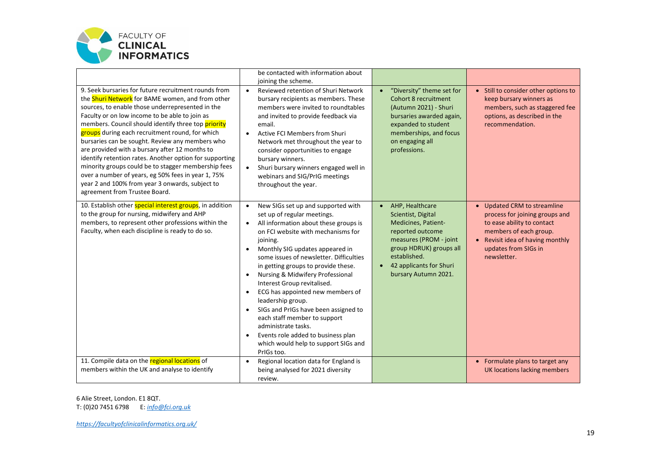

|                                                                                                                                                                                                                                                                                                                                                                                                                                                                                                                                                                                                                                                                                                  | be contacted with information about                                                                                                                                                                                                                                                                                                                                                                                                                                                                                                                                                                                   |                                                                                                                                                                                                                       |                                                                                                                                                                                                |
|--------------------------------------------------------------------------------------------------------------------------------------------------------------------------------------------------------------------------------------------------------------------------------------------------------------------------------------------------------------------------------------------------------------------------------------------------------------------------------------------------------------------------------------------------------------------------------------------------------------------------------------------------------------------------------------------------|-----------------------------------------------------------------------------------------------------------------------------------------------------------------------------------------------------------------------------------------------------------------------------------------------------------------------------------------------------------------------------------------------------------------------------------------------------------------------------------------------------------------------------------------------------------------------------------------------------------------------|-----------------------------------------------------------------------------------------------------------------------------------------------------------------------------------------------------------------------|------------------------------------------------------------------------------------------------------------------------------------------------------------------------------------------------|
| 9. Seek bursaries for future recruitment rounds from<br>the <b>Shuri Network</b> for BAME women, and from other<br>sources, to enable those underrepresented in the<br>Faculty or on low income to be able to join as<br>members. Council should identify three top priority<br>groups during each recruitment round, for which<br>bursaries can be sought. Review any members who<br>are provided with a bursary after 12 months to<br>identify retention rates. Another option for supporting<br>minority groups could be to stagger membership fees<br>over a number of years, eg 50% fees in year 1, 75%<br>year 2 and 100% from year 3 onwards, subject to<br>agreement from Trustee Board. | joining the scheme.<br>Reviewed retention of Shuri Network<br>bursary recipients as members. These<br>members were invited to roundtables<br>and invited to provide feedback via<br>email.<br>Active FCI Members from Shuri<br>$\bullet$<br>Network met throughout the year to<br>consider opportunities to engage<br>bursary winners.<br>Shuri bursary winners engaged well in<br>$\bullet$<br>webinars and SIG/PrIG meetings<br>throughout the year.                                                                                                                                                                | "Diversity" theme set for<br><b>Cohort 8 recruitment</b><br>(Autumn 2021) - Shuri<br>bursaries awarded again,<br>expanded to student<br>memberships, and focus<br>on engaging all<br>professions.                     | • Still to consider other options to<br>keep bursary winners as<br>members, such as staggered fee<br>options, as described in the<br>recommendation.                                           |
| 10. Establish other special interest groups, in addition<br>to the group for nursing, midwifery and AHP<br>members, to represent other professions within the<br>Faculty, when each discipline is ready to do so.                                                                                                                                                                                                                                                                                                                                                                                                                                                                                | New SIGs set up and supported with<br>$\bullet$<br>set up of regular meetings.<br>All information about these groups is<br>on FCI website with mechanisms for<br>joining.<br>Monthly SIG updates appeared in<br>some issues of newsletter. Difficulties<br>in getting groups to provide these.<br>Nursing & Midwifery Professional<br>Interest Group revitalised.<br>ECG has appointed new members of<br>leadership group.<br>SIGs and PrIGs have been assigned to<br>each staff member to support<br>administrate tasks.<br>Events role added to business plan<br>which would help to support SIGs and<br>PrIGs too. | AHP, Healthcare<br>Scientist, Digital<br>Medicines, Patient-<br>reported outcome<br>measures (PROM - joint<br>group HDRUK) groups all<br>established.<br>42 applicants for Shuri<br>$\bullet$<br>bursary Autumn 2021. | Updated CRM to streamline<br>process for joining groups and<br>to ease ability to contact<br>members of each group.<br>• Revisit idea of having monthly<br>updates from SIGs in<br>newsletter. |
| 11. Compile data on the regional locations of<br>members within the UK and analyse to identify                                                                                                                                                                                                                                                                                                                                                                                                                                                                                                                                                                                                   | Regional location data for England is<br>$\bullet$<br>being analysed for 2021 diversity<br>review.                                                                                                                                                                                                                                                                                                                                                                                                                                                                                                                    |                                                                                                                                                                                                                       | • Formulate plans to target any<br>UK locations lacking members                                                                                                                                |